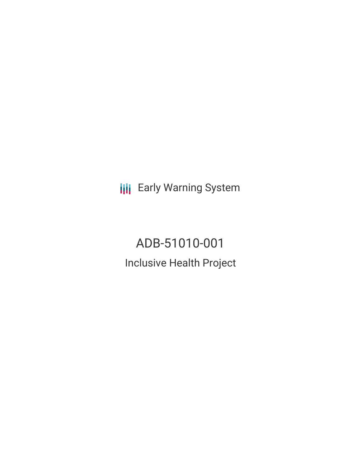**III** Early Warning System

# ADB-51010-001 Inclusive Health Project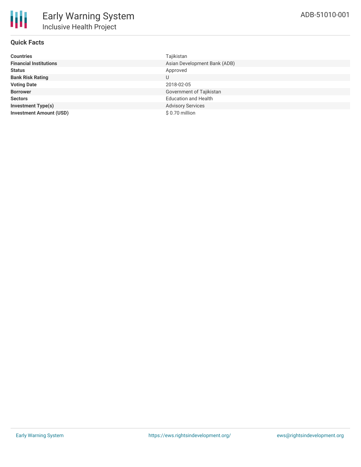## **Quick Facts**

| <b>Countries</b>               | Tajikistan                   |
|--------------------------------|------------------------------|
| <b>Financial Institutions</b>  | Asian Development Bank (ADB) |
| <b>Status</b>                  | Approved                     |
| <b>Bank Risk Rating</b>        | U                            |
| <b>Voting Date</b>             | 2018-02-05                   |
| <b>Borrower</b>                | Government of Tajikistan     |
| <b>Sectors</b>                 | <b>Education and Health</b>  |
| <b>Investment Type(s)</b>      | <b>Advisory Services</b>     |
| <b>Investment Amount (USD)</b> | \$0.70 million               |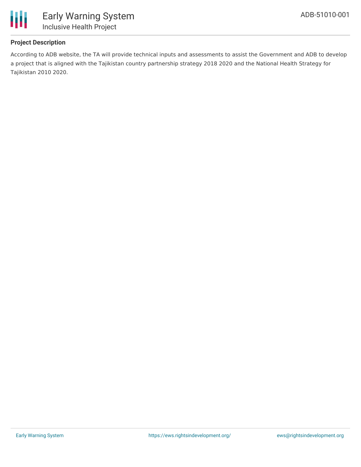

## **Project Description**

According to ADB website, the TA will provide technical inputs and assessments to assist the Government and ADB to develop a project that is aligned with the Tajikistan country partnership strategy 2018 2020 and the National Health Strategy for Tajikistan 2010 2020.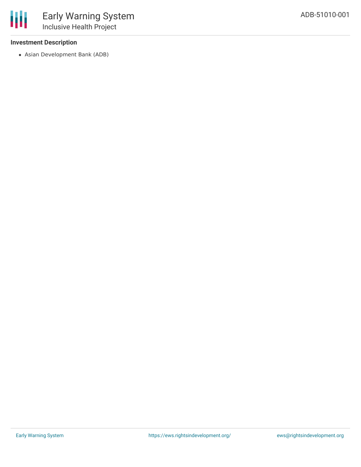## **Investment Description**

冊

Asian Development Bank (ADB)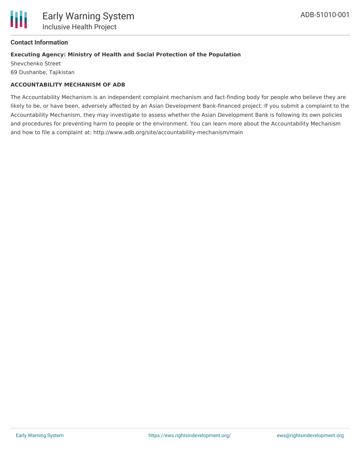

### **Contact Information**

### **Executing Agency: Ministry of Health and Social Protection of the Population**

Shevchenko Street 69 Dushanbe, Tajikistan

### **ACCOUNTABILITY MECHANISM OF ADB**

The Accountability Mechanism is an independent complaint mechanism and fact-finding body for people who believe they are likely to be, or have been, adversely affected by an Asian Development Bank-financed project. If you submit a complaint to the Accountability Mechanism, they may investigate to assess whether the Asian Development Bank is following its own policies and procedures for preventing harm to people or the environment. You can learn more about the Accountability Mechanism and how to file a complaint at: http://www.adb.org/site/accountability-mechanism/main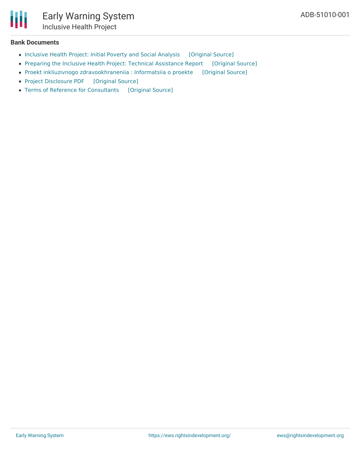#### **Bank Documents**

- [Inclusive](https://ewsdata.rightsindevelopment.org/files/documents/01/ADB-51010-001_vLdI8wV.pdf) Health Project: Initial Poverty and Social Analysis [\[Original](https://www.adb.org/projects/documents/taj-51010-001-ipsa) Source]
- Preparing the Inclusive Health Project: Technical [Assistance](https://ewsdata.rightsindevelopment.org/files/documents/01/ADB-51010-001_6R23eaM.pdf) Report [\[Original](https://www.adb.org/projects/documents/taj-51010-001-tar) Source]
- Proekt inkliuzivnogo [zdravookhraneniia](https://ewsdata.rightsindevelopment.org/files/documents/01/ADB-51010-001_u6l6ip3.pdf) : Informatsiia o proekte [\[Original](https://www.adb.org/ru/projects/documents/taj-51010-001-pds) Source]
- Project [Disclosure](https://ewsdata.rightsindevelopment.org/files/documents/01/ADB-51010-001.pdf) PDF [\[Original](https://www.adb.org/printpdf/projects/51010-001/main) Source]
- Terms of Reference for [Consultants](https://ewsdata.rightsindevelopment.org/files/documents/01/ADB-51010-001_ksKWLxC.pdf) [\[Original](https://www.adb.org/projects/documents/taj-51010-001-tar) Source]